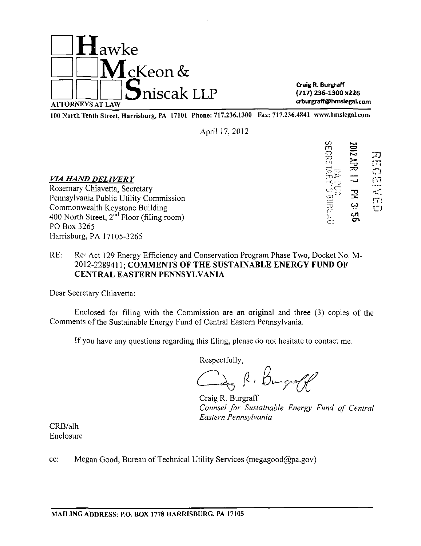

100 North Texth Street, Howishum, BA 17101 Dhone: 717 236 1300. Fax: 717 236 4841, www.hmslegal.com 100 North Tenth Street, Harrisburg, PA 17101 Phone: 717.236.1300 Fax: 717.236.4841 www.hmslegal.com

April 17,2012

VIA HAND DELIVERY<br>Rosemary Chiavetta, Secretary<br>Rosemary Chiavetta, Secretary Rosemary Chiavetta, Secretary Pennsylvania Public Utility Commission \_ Commonwealth Keystone Building  $\overline{29}$   $\overline{400}$  North Street,  $2^{nd}$  Floor (filing room) 400 North Street,  $2^{10}$  Floor (filing room)  $\frac{1}{C}$ ;  $\frac{1}{C}$ PO Box 3265 Harrisburg, PA 17105-3265

**SECRETARY: SECRET** 习 3 »  $\mathbf{C}$ *7X3* O ŗΤį

## RE: Re: Act 129 Energy Efficiency and Conservation Program Phase Two, Docket No. M-2012-2289411; COMMENTS OF THE SUSTAINABLE ENERGY FUND OF CENTRAL EASTERN PENNSYLVANIA

Dear Secretary Chiavetta:

Enclosed for filing with the Commission are an original and three (3) copies of the Comments of the Sustainable Energy Fund of Central Eastern Pennsylvania.

If you have any questions regarding this filing, please do not hesitate to contact me.

Respectfully,

Day R. Burgraff

Craig R. Burgraff *Counsel for Sustainable Energy Fund of Central Eastern Pennsylvania* 

CRB/alh Enclosure

cc: Megan Good, Bureau of Technical Utility Services (megagood@pa.gov)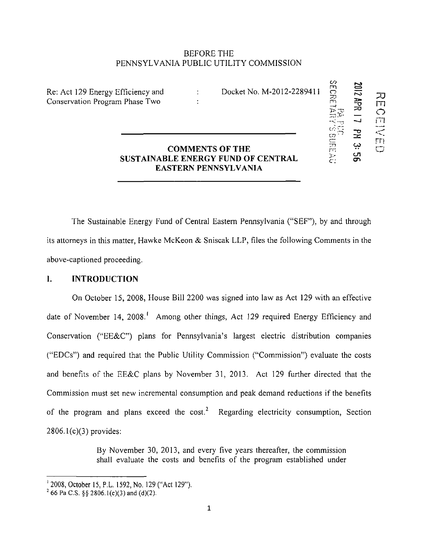### BEFORE THE PENNSYLVANIA PUBLIC UTILITY COMMISSION

 $\ddot{\cdot}$ 

Re: Act 129 Energy Efficiency and Conservation Program Phase Two

Docket No. M-2012-2289411

**CO m o r-o** 

**C**

**in rn** 

**c:** 

**'"' -v CO \* '** 

**f—— m CO . \* I** 

**cn** 

**rn ~U m** 

**J - -<sup>~</sup>o** 

## **COMMENTS OF THE SUSTAINABLE ENERGY FUND OF CENTRAL EASTERN PENNSYLVANIA**

**The Sustainable Energy Fund of Central Eastern Pennsylvania ("SEF"), by and through its attorneys in this matter, Hawke McKeon & Sniscak LLP, files the following Comments in the above-captioned proceeding.** 

### **I. INTRODUCTION**

On October 15, 2008, House Bill 2200 was signed into law as Act 129 with an effective date of November 14, 2008.' Among other things, Act 129 required Energy Efficiency and Conservation ("EE&C") plans for Pennsylvania's largest electric distribution companies ("EDCs") and required that the Public Utility Commission ("Commission") evaluate the costs and benefits of the EE&C plans by November 31, 2013. Act 129 further directed that the Commission must set new incremental consumption and peak demand reductions if the benefits of the program and plans exceed the cost.<sup>2</sup> Regarding electricity consumption, Section 2806.1(c)(3) provides:

> By November 30, 2013, and every five years thereafter, the commission shall evaluate the costs and benefits of the program established under

 $12008$ , October 15, P.L. 1592, No. 129 ("Act 129").

 $^{2}$  66 Pa C.S. §§ 2806.1(c)(3) and (d)(2).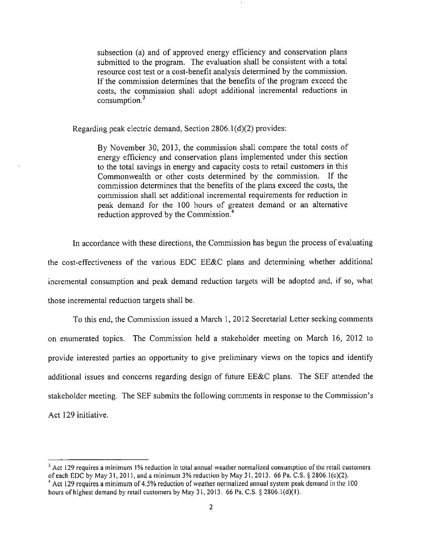subsection (a) and of approved energy efficiency and conservation plans submitted to the program. The evaluation shall be consistent with a total resource cost test or a cost-benefit analysis determined by the commission. If the commission determines that the benefits of the program exceed the costs, the commission shall adopt additional incremental reductions in consumption.<sup>3</sup>

Regarding peak electric demand, Section 2806.1(d)(2) provides:

By November 30, 2013, the commission shall compare the total costs of energy efficiency and conservation plans implemented under this section to the total savings in energy and capacity costs to retail customers in this Commonwealth or other costs determined by the commission. If the commission determines that the benefits of the plans exceed the costs, the commission shall set additional incremental requirements for reduction in peak demand for the 100 hours of greatest demand or an alternative reduction approved by the Commission.<sup>4</sup>

In accordance with these directions, the Commission has begun the process of evaluating the cost-effectiveness of the various EDC EE&C plans and determining whether additional incremental consumption and peak demand reduction targets will be adopted and, if so, what those incremental reduction targets shall be.

To this end, the Commission issued a March 1, 2012 Secretarial Letter seeking comments on enumerated topics. The Commission held a stakeholder meeting on March 16, 2012 to provide interested parties an opportunity to give preliminary views on the topics and identify additional issues and concerns regarding design of future EE&C plans. The SEF attended the stakeholder meeting. The SEF submits the following comments in response to the Commission's Act 129 initiative.

 $3$  Act 129 requires a minimum 1% reduction in total annual weather normalized consumption of the retail customers of each EDC by May 31, 2011, and a minimum 3% reduction by May 31, 2013. 66 Pa. C.S. § 2806.1(c)(2).

<sup>&</sup>lt;sup>4</sup> Act 129 requires a minimum of 4.5% reduction of weather normalized annual system peak demand in the 100 hours of highest demand by retail customers by May 31, 2013. 66 Pa. C.S. § 2806.1(d)(1).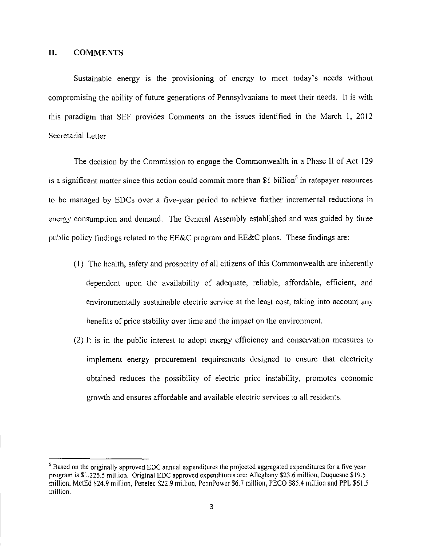### **11. COMMENTS**

Sustainable energy is the provisioning of energy to meet today's needs without compromising the ability of future generations of Pennsylvanians to meet their needs. It is with this paradigm that SEF provides Comments on the issues identified in the March 1, 2012 Secretarial Letter.

The decision by the Commission to engage the Commonwealth in a Phase II of Act 129 is a significant matter since this action could commit more than  $\$1$  billion<sup>5</sup> in ratepayer resources to be managed by EDCs over a five-year period to achieve further incremental reductions in energy consumption and demand. The General Assembly established and was guided by three public policy findings related to the EE&C program and EE&C plans. These findings are:

- (1) The health, safety and prosperity of all citizens of this Commonwealth are inherently dependent upon the availability of adequate, reliable, affordable, efficient, and environmentally sustainable electric service at the least cost, taking into account any benefits of price stability over time and the impact on the environment.
- (2) It is in the public interest to adopt energy efficiency and conservation measures to implement energy procurement requirements designed to ensure that electricity obtained reduces the possibility of electric price instability, promotes economic growth and ensures affordable and available electric services to all residents.

<sup>&</sup>lt;sup>5</sup> Based on the originally approved EDC annual expenditures the projected aggregated expenditures for a five year program is SI,225.5 million. Original EDC approved expenditures are: Alleghany \$23.6 million, Duquesne \$19.5 million, MetEd \$24.9 million, Penelec \$22.9 million, PennPower \$6.7 million, PECO \$85.4 million and PPL \$61.5 million.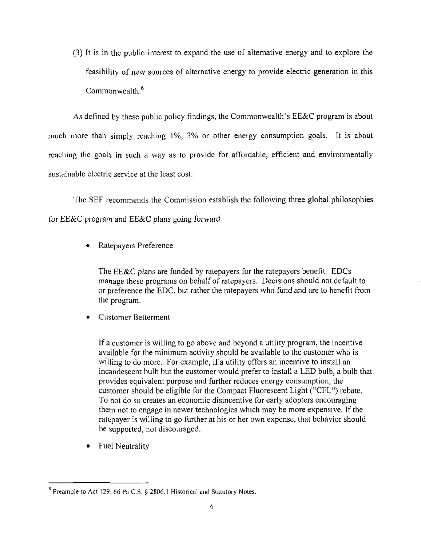(3) It is in the public interest to expand the use of alternative energy and to explore the feasibility of new sources of alternative energy to provide electric generation in this Commonwealth.<sup>6</sup>

As defined by these public policy findings, the Commonwealth's EE&C program is about much more than simply reaching 1%, 3% or other energy consumption goals. It is about reaching the goals in such a way as to provide for affordable, efficient and environmentally sustainable electric service at the least cost.

The SEF recommends the Commission establish the following three global philosophies for EE&C program and EE&C plans going forward.

• Ratepayers Preference

The EE&C plans are funded by ratepayers for the ratepayers benefit. EDCs manage these programs on behalf of ratepayers. Decisions should not default to or preference the EDC, but rather the ratepayers who fund and are to benefit from the program.

• Customer Betterment

If a customer is willing to go above and beyond a utility program, the incentive available for the minimum activity should be available to the customer who is willing to do more. For example, if a utility offers an incentive to install an incandescent bulb but the customer would prefer to install a LED bulb, a bulb that provides equivalent purpose and further reduces energy consumption, the customer should be eligible for the Compact Fluorescent Light ("CFL") rebate. To not do so creates an economic disincentive for early adopters encouraging them not to engage in newer technologies which may be more expensive. If the ratepayer is willing to go further at his or her own expense, that behavior should be supported, not discouraged.

• Fuel Neutrality

 $6$  Preamble to Act 129, 66 Pa C.S. § 2806.1 Historical and Statutory Notes.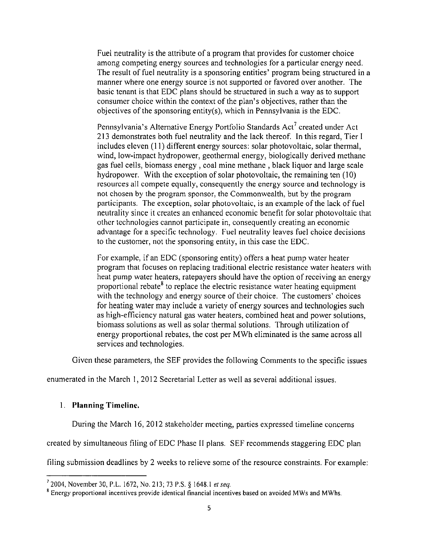Fuel neutrality is the attribute of a program that provides for customer choice among competing energy sources and technologies for a particular energy need. The result of fuel neutrality is a sponsoring entities' program being structured in a manner where one energy source is not supported or favored over another. The basic tenant is that EDC plans should be structured in such a way as to support consumer choice within the context of the plan's objectives, rather than the objectives of the sponsoring entity(s), which in Pennsylvania is the EDC.

Pennsylvania's Alternative Energy Portfolio Standards Act' created under Act 213 demonstrates both fuel neutrality and the lack thereof. In this regard. Tier I includes eleven (11) different energy sources: solar photovoltaic, solar thermal, wind, low-impact hydropower, geothermal energy, biologically derived methane gas fuel cells, biomass energy , coal mine methane , black liquor and large scale hydropower. With the exception of solar photovoltaic, the remaining ten (10) resources all compete equally, consequently the energy source and technology is not chosen by the program sponsor, the Commonwealth, but by the program participants. The exception, solar photovoltaic, is an example of the lack of fuel neutrality since it creates an enhanced economic benefit for solar photovoltaic that other technologies cannot participate in, consequently creating an economic advantage for a specific technology. Fuel neutrality leaves fuel choice decisions to the customer, not the sponsoring entity, in this case the EDC.

For example, if an EDC (sponsoring entity) offers a heat pump water heater program that focuses on replacing traditional electric resistance water heaters with heat pump water heaters, ratepayers should have the option of receiving an energy proportional rebate<sup>8</sup> to replace the electric resistance water heating equipment with the technology and energy source of their choice. The customers' choices for heating water may include a variety of energy sources and technologies such as high-efficiency natural gas water heaters, combined heat and power solutions, biomass solutions as well as solar thermal solutions. Through utilization of energy proportional rebates, the cost per MWh eliminated is the same across all services and technologies.

Given these parameters, the SEF provides the following Comments to the specific issues

enumerated in the March 1, 2012 Secretarial Letter as well as several additional issues.

## 1. Planning Timeline.

During the March 16, 2012 stakeholder meeting, parties expressed timeline concerns

created by simultaneous filing of EDC Phase II plans. SEF recommends staggering EDC plan

filing submission deadlines by 2 weeks to relieve some of the resource constraints. For example:

*<sup>7</sup> 2004, November 30, P.L. 1672, No. 213; 73 P.S. § 1648.1 etseq.* 

<sup>&</sup>lt;sup>8</sup> Energy proportional incentives provide identical financial incentives based on avoided MWs and MWhs.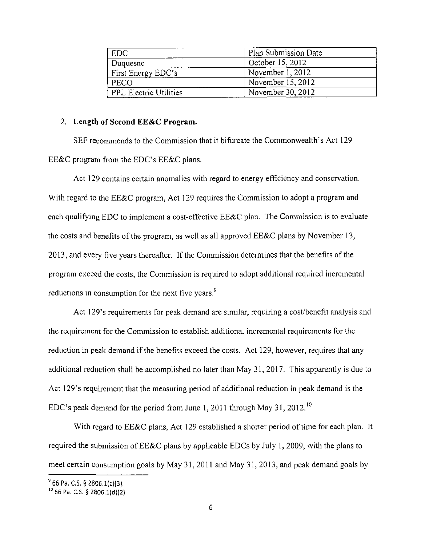| <b>EDC</b>                    | Plan Submission Date |
|-------------------------------|----------------------|
| Duquesne                      | October 15, 2012     |
| First Energy EDC's            | November $1, 2012$   |
| PECO                          | November $15, 2012$  |
| <b>PPL Electric Utilities</b> | November 30, 2012    |

### **2. Length of Second EE&C Program.**

SEF recommends to the Commission that it bifurcate the Commonwealth's Act 129 EE&C program from the EDC's EE&C plans.

Act 129 contains certain anomalies with regard to energy efficiency and conservation. With regard to the EE&C program, Act 129 requires the Commission to adopt a program and each qualifying EDC to implement a cost-effective EE&C plan. The Commission is to evaluate the costs and benefits of the program, as well as all approved EE&C plans by November 13, 2013, and every five years thereafter. If the Commission determines that the benefits of the program exceed the costs, the Commission is required to adopt additional required incremental reductions in consumption for the next five years.<sup>9</sup>

Act 129's requirements for peak demand are similar, requiring a cost/benefit analysis and the requirement for the Commission to establish additional incremental requirements for the reduction in peak demand if the benefits exceed the costs. Act 129, however, requires that any additional reduction shall be accomplished no later than May 31, 2017. This apparently is due to Act 129's requirement that the measuring period of additional reduction in peak demand is the EDC's peak demand for the period from June 1, 2011 through May 31, 2012.<sup>10</sup>

With regard to EE&C plans, Act 129 established a shorter period of time for each plan. It required the submission of EE&C plans by applicable EDCs by July 1, 2009, with the plans to meet certain consumption goals by May 31, 2011 and May 31, 2013, and peak demand goals by

 $^{\circ}$  66 Pa. C.S. § 2806.1(c)(3).

<sup>&</sup>lt;sup>10</sup> 66 Pa. C.S. § 2806.1(d)(2).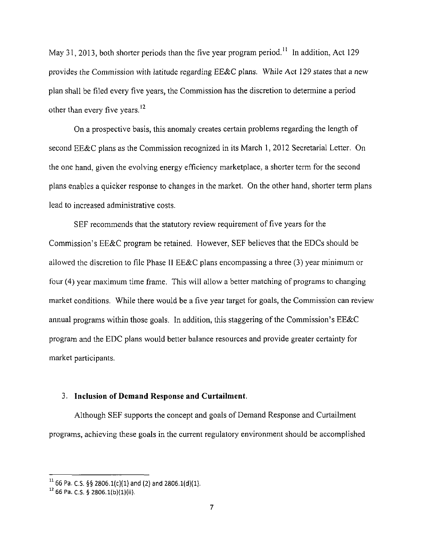May 31, 2013, both shorter periods than the five year program period.<sup>11</sup> In addition, Act 129 provides the Commission with latitude regarding EE&C plans. While Act 129 states that a new plan shall be filed every five years, the Commission has the discretion to determine a period other than every five years.<sup>12</sup>

On a prospective basis, this anomaly creates certain problems regarding the length of second EE&C plans as the Commission recognized in its March 1, 2012 Secretarial Letter. On the one hand, given the evolving energy efficiency marketplace, a shorter term for the second plans enables a quicker response to changes in the market. On the other hand, shorter term plans lead to increased administrative costs.

SEF recommends that the statutory review requirement of five years for the Commission's EE&C program be retained. However, SEF believes that the EDCs should be allowed the discretion to file Phase II EE&C plans encompassing a three (3) year minimum or four (4) year maximum time frame. This will allow a better matching of programs to changing market conditions. While there would be a five year target for goals, the Commission can review annual programs within those goals. In addition, this staggering of the Commission's EE&C program and the EDC plans would better balance resources and provide greater certainty for market participants.

### **3. Inclusion of Demand Response and Curtailment.**

Although SEF supports the concept and goals of Demand Response and Curtailment programs, achieving these goals in the current regulatory environment should be accomplished

 $11$  66 Pa. C.S. §§ 2806.1(c)(1) and (2) and 2806.1(d)(1).

<sup>&</sup>lt;sup>14</sup> 66 Pa. C.S. § 2806.1(b)(1)(ii).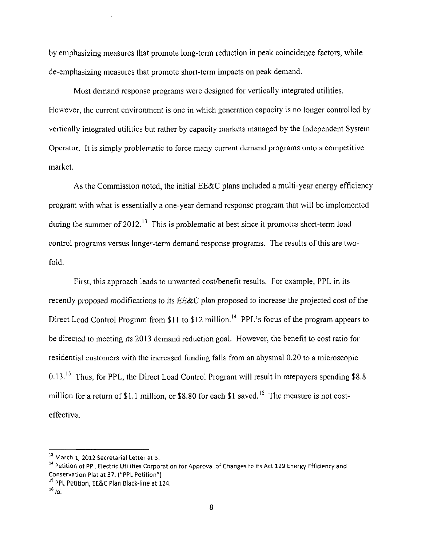by emphasizing measures that promote long-term reduction in peak coincidence factors, while de-emphasizing measures that promote short-term impacts on peak demand.

Most demand response programs were designed for vertically integrated utilities. However, the current environment is one in which generation capacity is no longer controlled by vertically integrated utilities but rather by capacity markets managed by the Independent System Operator. It is simply problematic to force many current demand programs onto a competitive market.

As the Commission noted, the initial EE&C plans included a multi-year energy efficiency program with what is essentially a one-year demand response program that will be implemented during the summer of  $2012<sup>13</sup>$  This is problematic at best since it promotes short-term load control programs versus longer-term demand response programs. The results of this are twofold.

First, this approach leads to unwanted cost/benefit results. For example, PPL in its recently proposed modifications to its EE&C plan proposed to increase the projected cost of the Direct Load Control Program from \$11 to \$12 million.<sup>14</sup> PPL's focus of the program appears to be directed to meeting its 2013 demand reduction goal. However, the benefit to cost ratio for residential customers with the increased funding falls from an abysmal 0.20 to a microscopic 0.13.<sup>15</sup> Thus, for PPL, the Direct Load Control Program will result in ratepayers spending \$8.8 million for a return of \$1.1 million, or \$8.80 for each \$1 saved.<sup>16</sup> The measure is not costeffective.

<sup>&</sup>lt;sup>13</sup> March 1, 2012 Secretarial Letter at 3.

<sup>&</sup>lt;sup>4</sup> Petition of PPL Electric Utilities Corporation for Approval of Changes to its Act 129 Energy Efficiency and Conservation Plat at 37. ("PPL Petition"}

<sup>15</sup> PPL Petition, EE&C Plan Black-line at 124.

 $16$  id.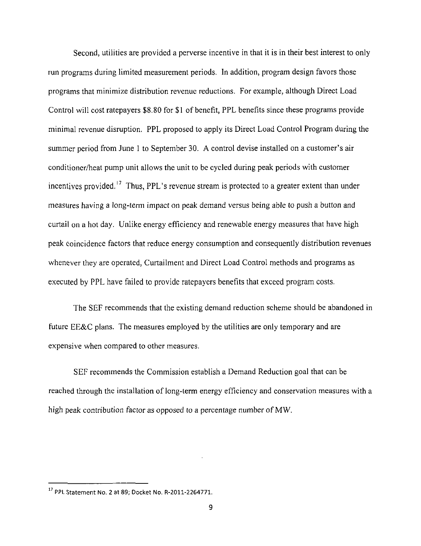Second, utilities are provided a perverse incentive in that it is in their best interest to only run programs during limited measurement periods. In addition, program design favors those programs that minimize distribution revenue reductions. For example, although Direct Load Control will cost ratepayers \$8.80 for \$1 of benefit, PPL benefits since these programs provide minimal revenue disruption. PPL proposed to apply its Direct Load Control Program during the summer period from June 1 to September 30. A control devise installed on a customer's air conditioner/heat pump unit allows the unit to be cycled during peak periods with customer incentives provided.<sup>17</sup> Thus, PPL's revenue stream is protected to a greater extent than under measures having a long-term impact on peak demand versus being able to push a button and curtail on a hot day. Unlike energy efficiency and renewable energy measures that have high peak coincidence factors that reduce energy consumption and consequently distribution revenues whenever they are operated, Curtailment and Direct Load Control methods and programs as executed by PPL have failed to provide ratepayers benefits that exceed program costs.

The SEF recommends that the existing demand reduction scheme should be abandoned in future EE&C plans. The measures employed by the utilities are only temporary and are expensive when compared to other measures.

SEF recommends the Commission establish a Demand Reduction goal that can be reached through the installation of long-term energy efficiency and conservation measures with a high peak contribution factor as opposed to a percentage number of MW.

<sup>&</sup>lt;sup>17</sup> PPL Statement No. 2 at 89; Docket No. R-2011-2264771.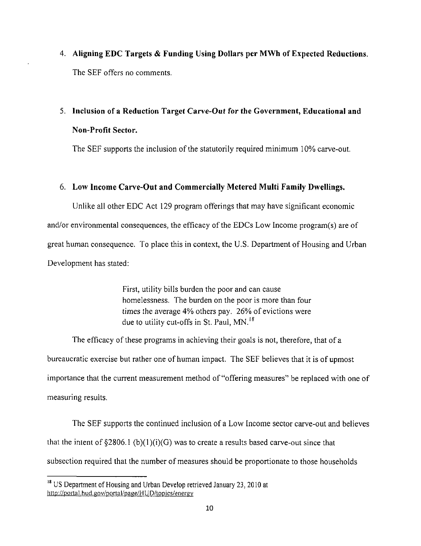**4. Aligning EDC Targets & Funding Using Dollars per MWh of Expected Reductions.**  The SEF offers no comments.

# **5. Inclusion of a Reduction Target Carve-Out for the Government, Educational and Non-Profit Sector.**

The SEF supports the inclusion of the statutorily required minimum 10% carve-out.

## **6. Low Income Carve-Out and Commercially Metered Multi Family Dwellings.**

Unlike all other EDC Act 129 program offerings that may have significant economic and/or environmental consequences, the efficacy of the EDCs Low Income program(s) are of great human consequence. To place this in context, the U.S. Department of Housing and Urban Development has stated:

> First, utility bills burden the poor and can cause homelessness. The burden on the poor is more than four times the average 4% others pay. 26% of evictions were due to utility cut-offs in St. Paul, MN.<sup>18</sup>

The efficacy of these programs in achieving their goals is not, therefore, that of a bureaucratic exercise but rather one of human impact. The SEF believes that it is of upmost importance that the current measurement method of "offering measures" be replaced with one of measuring results.

The SEF supports the continued inclusion of a Low Income sector carve-out and believes that the intent of  $$2806.1 (b)(1)(i)(G)$  was to create a results based carve-out since that subsection required that the number of measures should be proportionate to those households

<sup>&</sup>lt;sup>18</sup> US Department of Housing and Urban Develop retrieved January 23, 2010 at http://portal.hud.gov/portal/page/HUD/topics/energy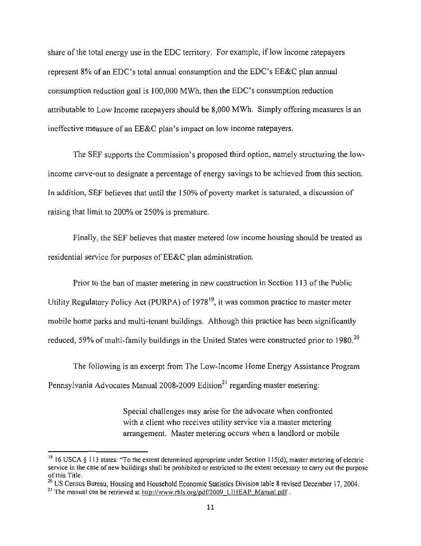share of the total energy use in the EDC territory. For example, if low income ratepayers represent  $8\%$  of an EDC's total annual consumption and the EDC's EE&C plan annual consumption reduction goal is  $100,000$  MWh, then the EDC's consumption reduction attributable to Low Income ratepayers should be 8,000 MWh. Simply offering measures is an ineffective measure of an EE&C plan's impact on low income ratepayers.

The SEF supports the Commission's proposed third option, namely structuring the lowincome carve-out to designate a percentage of energy savings to be achieved from this section. In addition, SEF believes that until the 150% of poverty market is saturated, a discussion of raising that limit to 200% or 250% is premature.

Finally, the SEF believes that master metered low income housing should be treated as residential service for purposes of EE&C plan administration.

Prior to the ban of master metering in new construction in Section 113 of the Public Utility Regulatory Policy Act (PURPA) of 1978<sup>19</sup>, it was common practice to master meter mobile home parks and multi-tenant buildings. Although this practice has been significantly reduced, 59% of multi-family buildings in the United States were constructed prior to 1980.<sup>20</sup>

The following is an excerpt from The Low-Income Home Energy Assistance Program Pennsylvania Advocates Manual 2008-2009 Edition<sup>21</sup> regarding master metering:

> Special challenges may arise for the advocate when confronted with a client who receives utility service via a master metering arrangement. Master metering occurs when a landlord or mobile

<sup>&</sup>lt;sup>19</sup> 16 USCA § 113 states: "To the extent determined appropriate under Section 115(d), master metering of electric service in the case of new buildings shall be prohibited or restricted to the extent necessary to carry out the purpose of this Title.

<sup>&</sup>lt;sup>20</sup> US Census Bureau, Housing and Household Economic Statistics Division table 8 revised December 17, 2004.

<sup>&</sup>lt;sup>21</sup> The manual can be retrieved at <u>http://www.rhls.org/pdf/2009\_LIHEAP\_Manual.pdf</u>.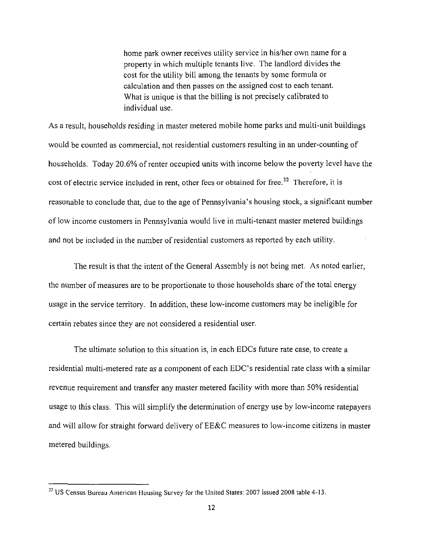home park owner receives utility service in his/her own name for a property in which multiple tenants live. The landlord divides the cost for the utility bill among the tenants by some formula or calculation and then passes on the assigned cost to each tenant. What is unique is that the billing is not precisely calibrated to individual use.

As a result, households residing in master metered mobile home parks and multi-unit buildings would be counted as commercial, not residential customers resulting in an under-counting of households. Today 20.6% of renter occupied units with income below the poverty level have the cost of electric service included in rent, other fees or obtained for free.<sup>22</sup> Therefore, it is reasonable to conclude that, due to the age of Pennsylvania's housing stock, a significant number of low income customers in Pennsylvania would live in multi-tenant master metered buildings and not be included in the number of residential customers as reported by each utility.

The result is that the intent of the General Assembly is not being met. As noted earlier, the number of measures are to be proportionate to those households share of the total energy usage in the service territory. In addition, these low-income customers may be ineligible for certain rebates since they are not considered a residential user.

The ultimate solution to this situation is, in each EDCs future rate case, to create a residential multi-metered rate as a component of each EDC's residential rate class with a similar revenue requirement and transfer any master metered facility with more than 50% residential usage to this class. This will simplify the determination of energy use by low-income ratepayers and will allow for straight forward delivery of EE&C measures to low-income citizens in master metered buildings.

**<sup>22</sup>**US Census Bureau American Housing Survey for the United States: 2007 issued 2008 table 4-13.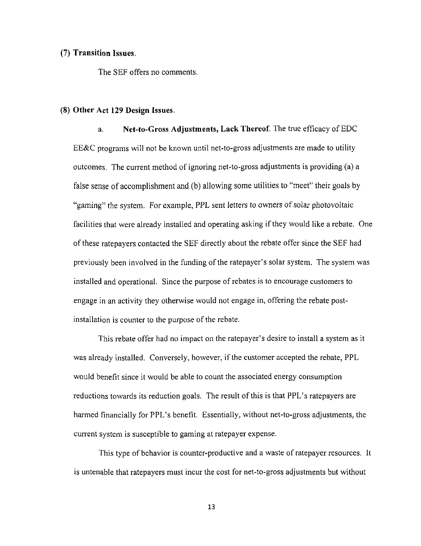### **(7) Transition Issues.**

The SEF offers no comments.

#### **(8) Other Act 129 Design Issues.**

a, Net-to-Gross Adjustments, Lack Thereof. The true efficacy of EDC EE&C programs will not be known until net-to-gross adjustments are made to utility outcomes. The current method of ignoring net-to-gross adjustments is providing (a) a false sense of accomplishment and (b) allowing some utilities to "meet" their goals by "gaming" the system. For example, PPL sent letters to owners of solar photovoltaic facilities that were already installed and operating asking if they would like a rebate. One of these ratepayers contacted the SEF directly about the rebate offer since the SEF had previously been involved in the funding of the ratepayer's solar system. The system was installed and operational. Since the purpose of rebates is to encourage customers to engage in an activity they otherwise would not engage in, offering the rebate postinstallation is counter to the purpose of the rebate.

This rebate offer had no impact on the ratepayer's desire to install a system as it was already installed. Conversely, however, if the customer accepted the rebate, PPL would benefit since it would be able to count the associated energy consumption reductions towards its reduction goals. The result of this is that PPL's ratepayers are harmed financially for PPL's benefit. Essentially, without net-to-gross adjustments, the current system is susceptible to gaming at ratepayer expense.

This type of behavior is counter-productive and a waste of ratepayer resources. It is untenable that ratepayers must incur the cost for net-to-gross adjustments but without

13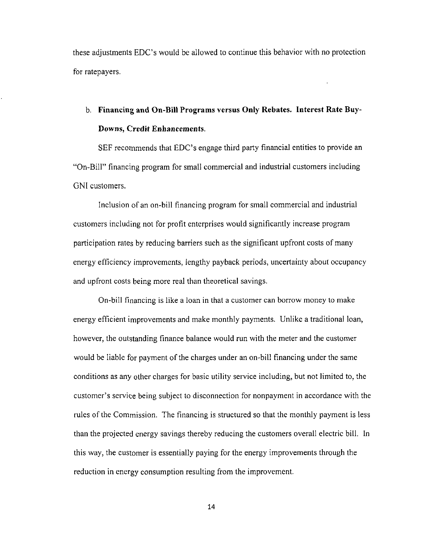these adjustments EDC's would be allowed to continue this behavior with no protection for ratepayers.

## **b. Financing and On-Bill Programs versus Only Rebates. Interest Rate Buy-Downs, Credit Enhancements.**

SEF recommends that EDC's engage third party financial entities to provide an "On-Bill" financing program for small commercial and industrial customers including GNI customers.

Inclusion of an on-bill financing program for small commercial and industrial customers including not for profit enterprises would significantly increase program participation rates by reducing barriers such as the significant upfront costs of many energy efficiency improvements, lengthy payback periods, uncertainty about occupancy and upfront costs being more real than theoretical savings.

On-bill financing is like a loan in that a customer can borrow money to make energy efficient improvements and make monthly payments. Unlike a traditional loan, however, the outstanding finance balance would run with the meter and the customer would be liable for payment of the charges under an on-bill financing under the same conditions as any other charges for basic utility service including, but not limited to, the customer's service being subject to disconnection for nonpayment in accordance with the rules of the Commission. The financing is structured so that the monthly payment is less than the projected energy savings thereby reducing the customers overall electric bill. In this way, the customer is essentially paying for the energy improvements through the reduction in energy consumption resulting from the improvement.

14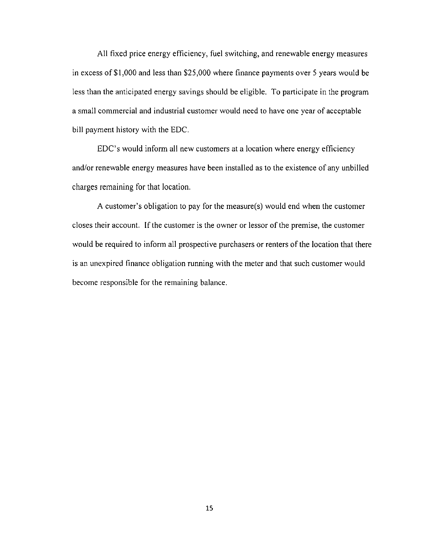All fixed price energy efficiency, fuel switching, and renewable energy measures in excess of \$1,000 and less than \$25,000 where finance payments over 5 years would be less than the anticipated energy savings should be eligible. To participate in the program a small commercial and industrial customer would need to have one year of acceptable bill payment history with the EDC.

EDC's would inform all new customers at a location where energy efficiency and/or renewable energy measures have been installed as to the existence of any unbilled charges remaining for that location.

A customer's obligation to pay for the measure(s) would end when the customer closes their account. If the customer is the owner or lessor of the premise, the customer would be required to inform all prospective purchasers or renters of the location that there is an unexpired finance obligation running with the meter and that such customer would become responsible for the remaining balance.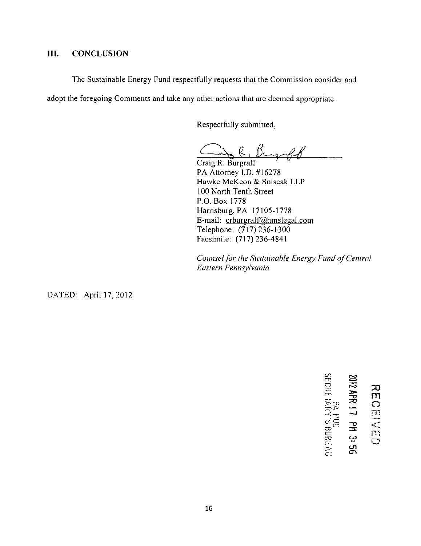### **III. CONCLUSION**

The Sustainable Energy Fund respectfully requests that the Commission consider and

adopt the foregoing Comments and take any other actions that are deemed appropriate.

Respectfully submitted,

 $-$ g . R.

Craig R. Burgraff PA Attorney I.D. #16278 Hawke McKeon & Sniscak LLP 100 North Tenth Street P.O. Box 1778 Harrisburg, PA 17105-1778 E-mail: crburgraff@hmslegal.com Telephone: (717) 236-1300 Facsimile: (717)236-4841

*Counsel for the Sustainable Energy Fund of Central Eastern Pennsylvania* 

DATED: April 17,2012

**CO ^ o TO 5 ^ m**  = 2012 APR 17 PM 3: 56 1 **S " C7**